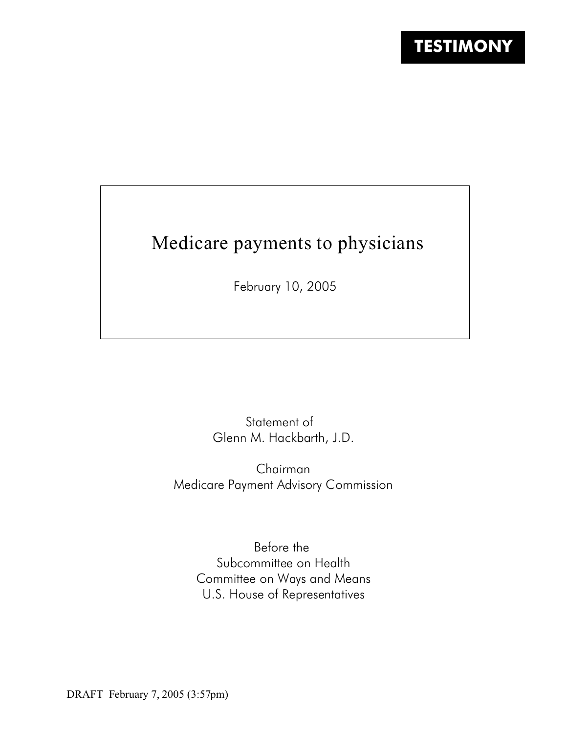# Medicare payments to physicians

February 10, 2005

Statement of Glenn M. Hackbarth, J.D.

Chairman Medicare Payment Advisory Commission

> Before the Subcommittee on Health Committee on Ways and Means U.S. House of Representatives

DRAFT February 7, 2005 (3:57pm)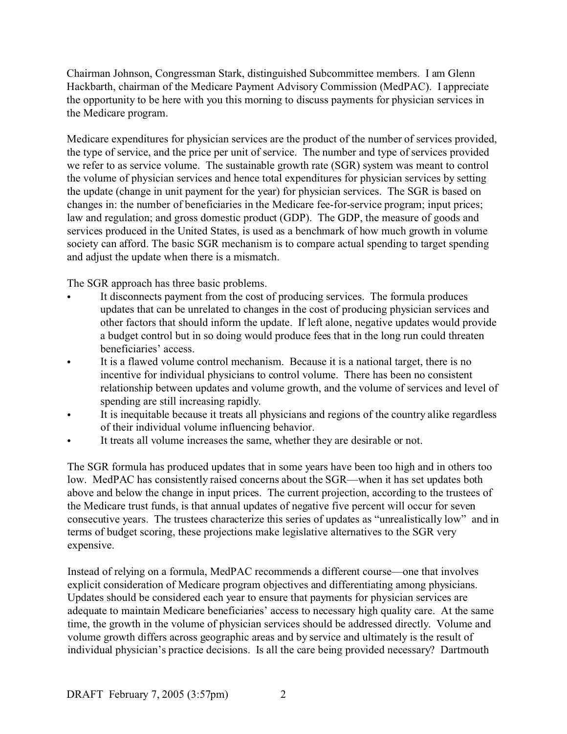Chairman Johnson, Congressman Stark, distinguished Subcommittee members. I am Glenn Hackbarth, chairman of the Medicare Payment Advisory Commission (MedPAC). I appreciate the opportunity to be here with you this morning to discuss payments for physician services in the Medicare program.

Medicare expenditures for physician services are the product of the number of services provided, the type of service, and the price per unit of service. The number and type of services provided we refer to as service volume. The sustainable growth rate (SGR) system was meant to control the volume of physician services and hence total expenditures for physician services by setting the update (change in unit payment for the year) for physician services. The SGR is based on changes in: the number of beneficiaries in the Medicare fee-for-service program; input prices; law and regulation; and gross domestic product (GDP). The GDP, the measure of goods and services produced in the United States, is used as a benchmark of how much growth in volume society can afford. The basic SGR mechanism is to compare actual spending to target spending and adjust the update when there is a mismatch.

The SGR approach has three basic problems.

- It disconnects payment from the cost of producing services. The formula produces updates that can be unrelated to changes in the cost of producing physician services and other factors that should inform the update. If left alone, negative updates would provide a budget control but in so doing would produce fees that in the long run could threaten beneficiaries' access.
- It is a flawed volume control mechanism. Because it is a national target, there is no incentive for individual physicians to control volume. There has been no consistent relationship between updates and volume growth, and the volume of services and level of spending are still increasing rapidly.
- It is inequitable because it treats all physicians and regions of the country alike regardless of their individual volume influencing behavior.
- It treats all volume increases the same, whether they are desirable or not.

The SGR formula has produced updates that in some years have been too high and in others too low. MedPAC has consistently raised concerns about the SGR—when it has set updates both above and below the change in input prices. The current projection, according to the trustees of the Medicare trust funds, is that annual updates of negative five percent will occur for seven consecutive years. The trustees characterize this series of updates as "unrealistically low" and in terms of budget scoring, these projections make legislative alternatives to the SGR very expensive.

Instead of relying on a formula, MedPAC recommends a different course—one that involves explicit consideration of Medicare program objectives and differentiating among physicians. Updates should be considered each year to ensure that payments for physician services are adequate to maintain Medicare beneficiaries' access to necessary high quality care. At the same time, the growth in the volume of physician services should be addressed directly. Volume and volume growth differs across geographic areas and by service and ultimately is the result of individual physician's practice decisions. Is all the care being provided necessary? Dartmouth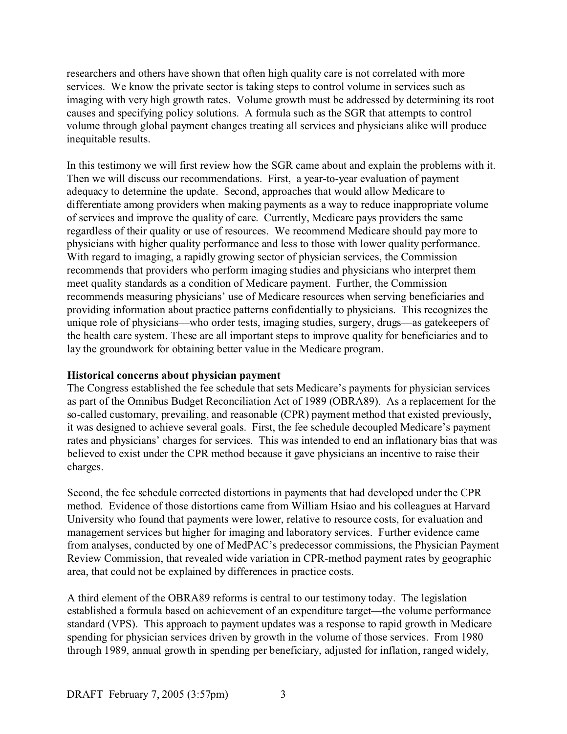researchers and others have shown that often high quality care is not correlated with more services. We know the private sector is taking steps to control volume in services such as imaging with very high growth rates. Volume growth must be addressed by determining its root causes and specifying policy solutions. A formula such as the SGR that attempts to control volume through global payment changes treating all services and physicians alike will produce inequitable results.

In this testimony we will first review how the SGR came about and explain the problems with it. Then we will discuss our recommendations. First, a year-to-year evaluation of payment adequacy to determine the update. Second, approaches that would allow Medicare to differentiate among providers when making payments as a way to reduce inappropriate volume of services and improve the quality of care. Currently, Medicare pays providers the same regardless of their quality or use of resources. We recommend Medicare should pay more to physicians with higher quality performance and less to those with lower quality performance. With regard to imaging, a rapidly growing sector of physician services, the Commission recommends that providers who perform imaging studies and physicians who interpret them meet quality standards as a condition of Medicare payment. Further, the Commission recommends measuring physicians' use of Medicare resources when serving beneficiaries and providing information about practice patterns confidentially to physicians. This recognizes the unique role of physicians—who order tests, imaging studies, surgery, drugs—as gatekeepers of the health care system. These are all important steps to improve quality for beneficiaries and to lay the groundwork for obtaining better value in the Medicare program.

#### **Historical concerns about physician payment**

The Congress established the fee schedule that sets Medicare's payments for physician services as part of the Omnibus Budget Reconciliation Act of 1989 (OBRA89). As a replacement for the so-called customary, prevailing, and reasonable (CPR) payment method that existed previously, it was designed to achieve several goals. First, the fee schedule decoupled Medicare's payment rates and physicians' charges for services. This was intended to end an inflationary bias that was believed to exist under the CPR method because it gave physicians an incentive to raise their charges.

Second, the fee schedule corrected distortions in payments that had developed under the CPR method. Evidence of those distortions came from William Hsiao and his colleagues at Harvard University who found that payments were lower, relative to resource costs, for evaluation and management services but higher for imaging and laboratory services. Further evidence came from analyses, conducted by one of MedPAC's predecessor commissions, the Physician Payment Review Commission, that revealed wide variation in CPR-method payment rates by geographic area, that could not be explained by differences in practice costs.

A third element of the OBRA89 reforms is central to our testimony today. The legislation established a formula based on achievement of an expenditure target—the volume performance standard (VPS). This approach to payment updates was a response to rapid growth in Medicare spending for physician services driven by growth in the volume of those services. From 1980 through 1989, annual growth in spending per beneficiary, adjusted for inflation, ranged widely,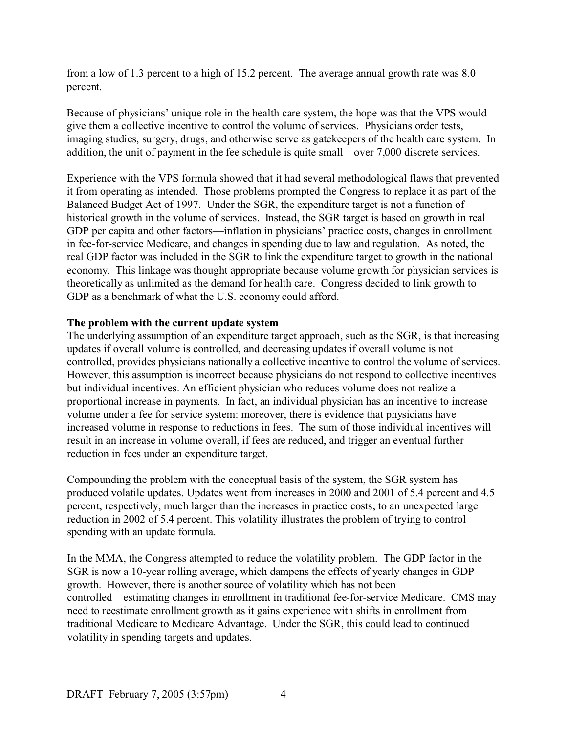from a low of 1.3 percent to a high of 15.2 percent. The average annual growth rate was 8.0 percent.

Because of physicians' unique role in the health care system, the hope was that the VPS would give them a collective incentive to control the volume of services. Physicians order tests, imaging studies, surgery, drugs, and otherwise serve as gatekeepers of the health care system. In addition, the unit of payment in the fee schedule is quite small—over 7,000 discrete services.

Experience with the VPS formula showed that it had several methodological flaws that prevented it from operating as intended. Those problems prompted the Congress to replace it as part of the Balanced Budget Act of 1997. Under the SGR, the expenditure target is not a function of historical growth in the volume of services. Instead, the SGR target is based on growth in real GDP per capita and other factors—inflation in physicians' practice costs, changes in enrollment in fee-for-service Medicare, and changes in spending due to law and regulation. As noted, the real GDP factor was included in the SGR to link the expenditure target to growth in the national economy. This linkage was thought appropriate because volume growth for physician services is theoretically as unlimited as the demand for health care. Congress decided to link growth to GDP as a benchmark of what the U.S. economy could afford.

#### **The problem with the current update system**

The underlying assumption of an expenditure target approach, such as the SGR, is that increasing updates if overall volume is controlled, and decreasing updates if overall volume is not controlled, provides physicians nationally a collective incentive to control the volume of services. However, this assumption is incorrect because physicians do not respond to collective incentives but individual incentives. An efficient physician who reduces volume does not realize a proportional increase in payments. In fact, an individual physician has an incentive to increase volume under a fee for service system: moreover, there is evidence that physicians have increased volume in response to reductions in fees. The sum of those individual incentives will result in an increase in volume overall, if fees are reduced, and trigger an eventual further reduction in fees under an expenditure target.

Compounding the problem with the conceptual basis of the system, the SGR system has produced volatile updates. Updates went from increases in 2000 and 2001 of 5.4 percent and 4.5 percent, respectively, much larger than the increases in practice costs, to an unexpected large reduction in 2002 of 5.4 percent. This volatility illustrates the problem of trying to control spending with an update formula.

In the MMA, the Congress attempted to reduce the volatility problem. The GDP factor in the SGR is now a 10-year rolling average, which dampens the effects of yearly changes in GDP growth. However, there is another source of volatility which has not been controlled—estimating changes in enrollment in traditional fee-for-service Medicare. CMS may need to reestimate enrollment growth as it gains experience with shifts in enrollment from traditional Medicare to Medicare Advantage. Under the SGR, this could lead to continued volatility in spending targets and updates.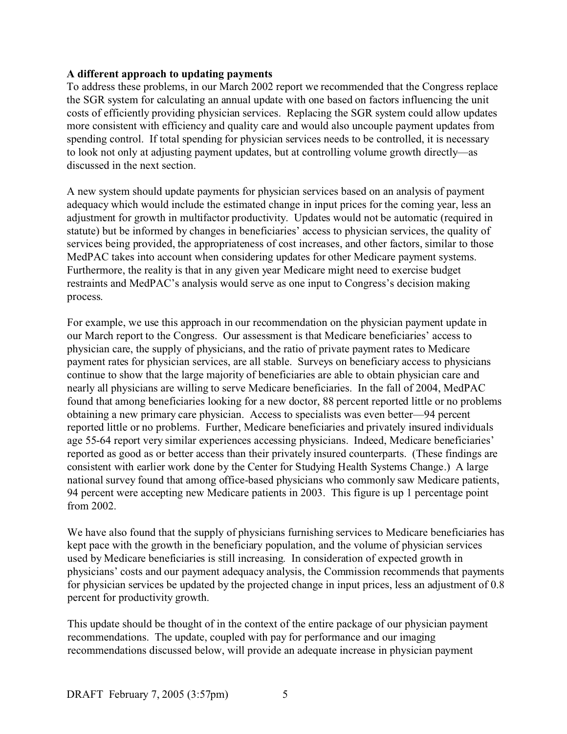#### **A different approach to updating payments**

To address these problems, in our March 2002 report we recommended that the Congress replace the SGR system for calculating an annual update with one based on factors influencing the unit costs of efficiently providing physician services. Replacing the SGR system could allow updates more consistent with efficiency and quality care and would also uncouple payment updates from spending control. If total spending for physician services needs to be controlled, it is necessary to look not only at adjusting payment updates, but at controlling volume growth directly—as discussed in the next section.

A new system should update payments for physician services based on an analysis of payment adequacy which would include the estimated change in input prices for the coming year, less an adjustment for growth in multifactor productivity. Updates would not be automatic (required in statute) but be informed by changes in beneficiaries' access to physician services, the quality of services being provided, the appropriateness of cost increases, and other factors, similar to those MedPAC takes into account when considering updates for other Medicare payment systems. Furthermore, the reality is that in any given year Medicare might need to exercise budget restraints and MedPAC's analysis would serve as one input to Congress's decision making process.

For example, we use this approach in our recommendation on the physician payment update in our March report to the Congress. Our assessment is that Medicare beneficiaries' access to physician care, the supply of physicians, and the ratio of private payment rates to Medicare payment rates for physician services, are all stable. Surveys on beneficiary access to physicians continue to show that the large majority of beneficiaries are able to obtain physician care and nearly all physicians are willing to serve Medicare beneficiaries. In the fall of 2004, MedPAC found that among beneficiaries looking for a new doctor, 88 percent reported little or no problems obtaining a new primary care physician. Access to specialists was even better—94 percent reported little or no problems. Further, Medicare beneficiaries and privately insured individuals age 55-64 report very similar experiences accessing physicians. Indeed, Medicare beneficiaries' reported as good as or better access than their privately insured counterparts. (These findings are consistent with earlier work done by the Center for Studying Health Systems Change.) A large national survey found that among office-based physicians who commonly saw Medicare patients, 94 percent were accepting new Medicare patients in 2003. This figure is up 1 percentage point from 2002.

We have also found that the supply of physicians furnishing services to Medicare beneficiaries has kept pace with the growth in the beneficiary population, and the volume of physician services used by Medicare beneficiaries is still increasing. In consideration of expected growth in physicians' costs and our payment adequacy analysis, the Commission recommends that payments for physician services be updated by the projected change in input prices, less an adjustment of 0.8 percent for productivity growth.

This update should be thought of in the context of the entire package of our physician payment recommendations. The update, coupled with pay for performance and our imaging recommendations discussed below, will provide an adequate increase in physician payment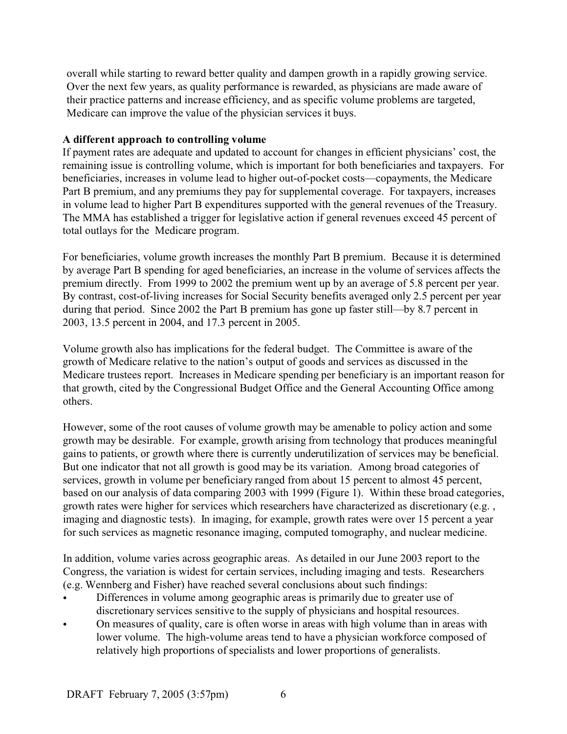overall while starting to reward better quality and dampen growth in a rapidly growing service. Over the next few years, as quality performance is rewarded, as physicians are made aware of their practice patterns and increase efficiency, and as specific volume problems are targeted, Medicare can improve the value of the physician services it buys.

#### **A different approach to controlling volume**

If payment rates are adequate and updated to account for changes in efficient physicians' cost, the remaining issue is controlling volume, which is important for both beneficiaries and taxpayers. For beneficiaries, increases in volume lead to higher out-of-pocket costs—copayments, the Medicare Part B premium, and any premiums they pay for supplemental coverage. For taxpayers, increases in volume lead to higher Part B expenditures supported with the general revenues of the Treasury. The MMA has established a trigger for legislative action if general revenues exceed 45 percent of total outlays for the Medicare program.

For beneficiaries, volume growth increases the monthly Part B premium. Because it is determined by average Part B spending for aged beneficiaries, an increase in the volume of services affects the premium directly. From 1999 to 2002 the premium went up by an average of 5.8 percent per year. By contrast, cost-of-living increases for Social Security benefits averaged only 2.5 percent per year during that period. Since 2002 the Part B premium has gone up faster still—by 8.7 percent in 2003, 13.5 percent in 2004, and 17.3 percent in 2005.

Volume growth also has implications for the federal budget. The Committee is aware of the growth of Medicare relative to the nation's output of goods and services as discussed in the Medicare trustees report. Increases in Medicare spending per beneficiary is an important reason for that growth, cited by the Congressional Budget Office and the General Accounting Office among others.

However, some of the root causes of volume growth may be amenable to policy action and some growth may be desirable. For example, growth arising from technology that produces meaningful gains to patients, or growth where there is currently underutilization of services may be beneficial. But one indicator that not all growth is good may be its variation. Among broad categories of services, growth in volume per beneficiary ranged from about 15 percent to almost 45 percent, based on our analysis of data comparing 2003 with 1999 (Figure 1). Within these broad categories, growth rates were higher for services which researchers have characterized as discretionary (e.g. , imaging and diagnostic tests). In imaging, for example, growth rates were over 15 percent a year for such services as magnetic resonance imaging, computed tomography, and nuclear medicine.

In addition, volume varies across geographic areas. As detailed in our June 2003 report to the Congress, the variation is widest for certain services, including imaging and tests. Researchers (e.g. Wennberg and Fisher) have reached several conclusions about such findings:

- Differences in volume among geographic areas is primarily due to greater use of discretionary services sensitive to the supply of physicians and hospital resources.
- On measures of quality, care is often worse in areas with high volume than in areas with lower volume. The high-volume areas tend to have a physician workforce composed of relatively high proportions of specialists and lower proportions of generalists.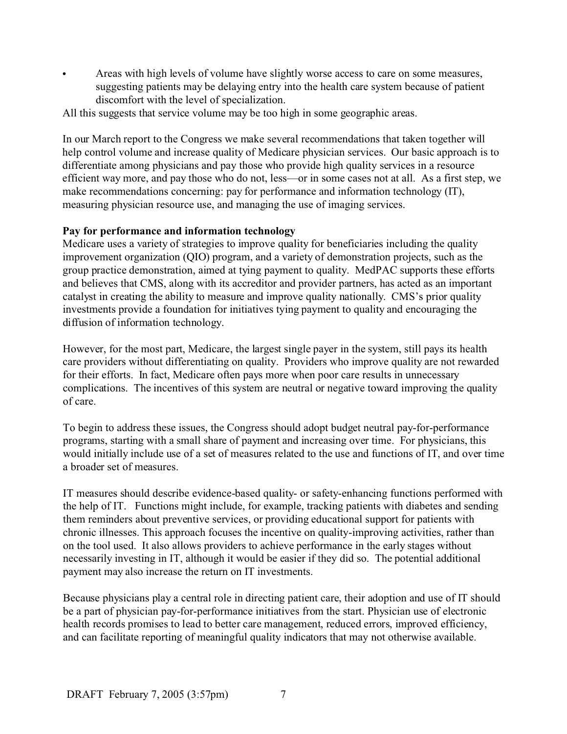Areas with high levels of volume have slightly worse access to care on some measures, suggesting patients may be delaying entry into the health care system because of patient discomfort with the level of specialization.

All this suggests that service volume may be too high in some geographic areas.

In our March report to the Congress we make several recommendations that taken together will help control volume and increase quality of Medicare physician services. Our basic approach is to differentiate among physicians and pay those who provide high quality services in a resource efficient way more, and pay those who do not, less—or in some cases not at all. As a first step, we make recommendations concerning: pay for performance and information technology (IT), measuring physician resource use, and managing the use of imaging services.

#### **Pay for performance and information technology**

Medicare uses a variety of strategies to improve quality for beneficiaries including the quality improvement organization (QIO) program, and a variety of demonstration projects, such as the group practice demonstration, aimed at tying payment to quality. MedPAC supports these efforts and believes that CMS, along with its accreditor and provider partners, has acted as an important catalyst in creating the ability to measure and improve quality nationally. CMS's prior quality investments provide a foundation for initiatives tying payment to quality and encouraging the diffusion of information technology.

However, for the most part, Medicare, the largest single payer in the system, still pays its health care providers without differentiating on quality. Providers who improve quality are not rewarded for their efforts. In fact, Medicare often pays more when poor care results in unnecessary complications. The incentives of this system are neutral or negative toward improving the quality of care.

To begin to address these issues, the Congress should adopt budget neutral pay-for-performance programs, starting with a small share of payment and increasing over time. For physicians, this would initially include use of a set of measures related to the use and functions of IT, and over time a broader set of measures.

IT measures should describe evidence-based quality- or safety-enhancing functions performed with the help of IT. Functions might include, for example, tracking patients with diabetes and sending them reminders about preventive services, or providing educational support for patients with chronic illnesses. This approach focuses the incentive on quality-improving activities, rather than on the tool used. It also allows providers to achieve performance in the early stages without necessarily investing in IT, although it would be easier if they did so. The potential additional payment may also increase the return on IT investments.

Because physicians play a central role in directing patient care, their adoption and use of IT should be a part of physician pay-for-performance initiatives from the start. Physician use of electronic health records promises to lead to better care management, reduced errors, improved efficiency, and can facilitate reporting of meaningful quality indicators that may not otherwise available.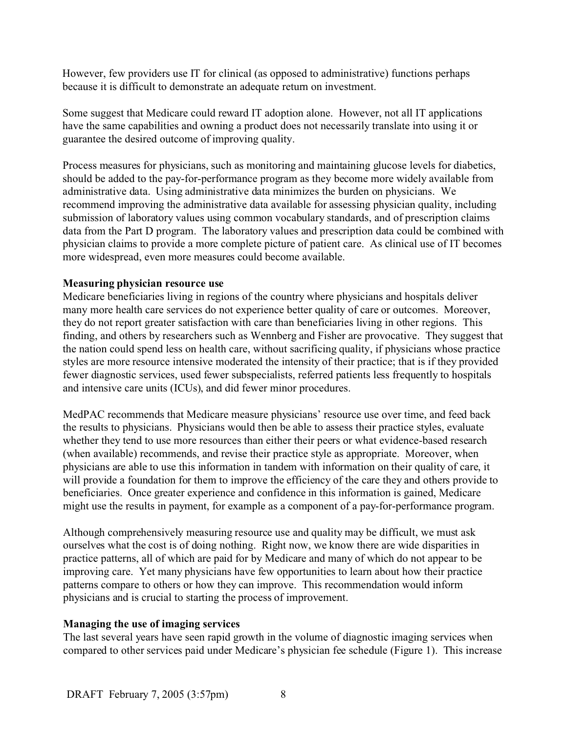However, few providers use IT for clinical (as opposed to administrative) functions perhaps because it is difficult to demonstrate an adequate return on investment.

Some suggest that Medicare could reward IT adoption alone. However, not all IT applications have the same capabilities and owning a product does not necessarily translate into using it or guarantee the desired outcome of improving quality.

Process measures for physicians, such as monitoring and maintaining glucose levels for diabetics, should be added to the pay-for-performance program as they become more widely available from administrative data. Using administrative data minimizes the burden on physicians. We recommend improving the administrative data available for assessing physician quality, including submission of laboratory values using common vocabulary standards, and of prescription claims data from the Part D program. The laboratory values and prescription data could be combined with physician claims to provide a more complete picture of patient care. As clinical use of IT becomes more widespread, even more measures could become available.

#### **Measuring physician resource use**

Medicare beneficiaries living in regions of the country where physicians and hospitals deliver many more health care services do not experience better quality of care or outcomes. Moreover, they do not report greater satisfaction with care than beneficiaries living in other regions. This finding, and others by researchers such as Wennberg and Fisher are provocative. They suggest that the nation could spend less on health care, without sacrificing quality, if physicians whose practice styles are more resource intensive moderated the intensity of their practice; that is if they provided fewer diagnostic services, used fewer subspecialists, referred patients less frequently to hospitals and intensive care units (ICUs), and did fewer minor procedures.

MedPAC recommends that Medicare measure physicians' resource use over time, and feed back the results to physicians. Physicians would then be able to assess their practice styles, evaluate whether they tend to use more resources than either their peers or what evidence-based research (when available) recommends, and revise their practice style as appropriate. Moreover, when physicians are able to use this information in tandem with information on their quality of care, it will provide a foundation for them to improve the efficiency of the care they and others provide to beneficiaries. Once greater experience and confidence in this information is gained, Medicare might use the results in payment, for example as a component of a pay-for-performance program.

Although comprehensively measuring resource use and quality may be difficult, we must ask ourselves what the cost is of doing nothing. Right now, we know there are wide disparities in practice patterns, all of which are paid for by Medicare and many of which do not appear to be improving care. Yet many physicians have few opportunities to learn about how their practice patterns compare to others or how they can improve. This recommendation would inform physicians and is crucial to starting the process of improvement.

### **Managing the use of imaging services**

The last several years have seen rapid growth in the volume of diagnostic imaging services when compared to other services paid under Medicare's physician fee schedule (Figure 1). This increase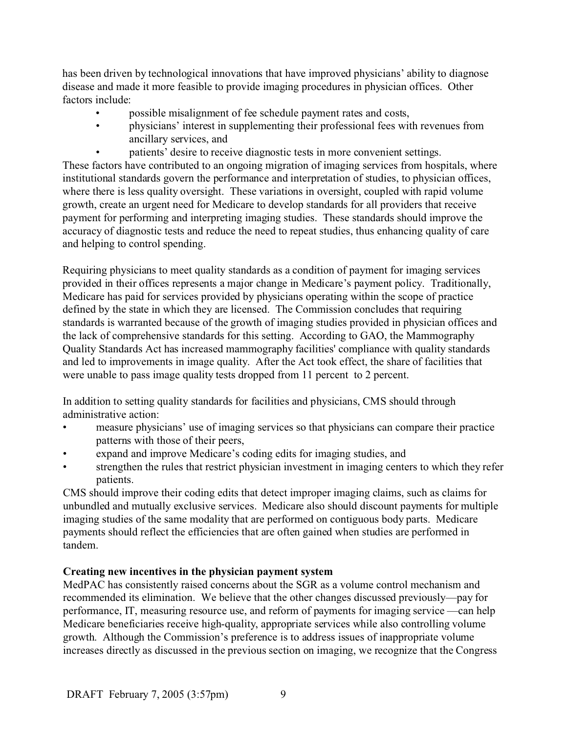has been driven by technological innovations that have improved physicians' ability to diagnose disease and made it more feasible to provide imaging procedures in physician offices. Other factors include:

- possible misalignment of fee schedule payment rates and costs,
- physicians' interest in supplementing their professional fees with revenues from ancillary services, and
	- patients' desire to receive diagnostic tests in more convenient settings.

These factors have contributed to an ongoing migration of imaging services from hospitals, where institutional standards govern the performance and interpretation of studies, to physician offices, where there is less quality oversight. These variations in oversight, coupled with rapid volume growth, create an urgent need for Medicare to develop standards for all providers that receive payment for performing and interpreting imaging studies. These standards should improve the accuracy of diagnostic tests and reduce the need to repeat studies, thus enhancing quality of care and helping to control spending.

Requiring physicians to meet quality standards as a condition of payment for imaging services provided in their offices represents a major change in Medicare's payment policy. Traditionally, Medicare has paid for services provided by physicians operating within the scope of practice defined by the state in which they are licensed. The Commission concludes that requiring standards is warranted because of the growth of imaging studies provided in physician offices and the lack of comprehensive standards for this setting. According to GAO, the Mammography Quality Standards Act has increased mammography facilities' compliance with quality standards and led to improvements in image quality. After the Act took effect, the share of facilities that were unable to pass image quality tests dropped from 11 percent to 2 percent.

In addition to setting quality standards for facilities and physicians, CMS should through administrative action:

- measure physicians' use of imaging services so that physicians can compare their practice patterns with those of their peers,
- expand and improve Medicare's coding edits for imaging studies, and
- strengthen the rules that restrict physician investment in imaging centers to which they refer patients.

CMS should improve their coding edits that detect improper imaging claims, such as claims for unbundled and mutually exclusive services. Medicare also should discount payments for multiple imaging studies of the same modality that are performed on contiguous body parts. Medicare payments should reflect the efficiencies that are often gained when studies are performed in tandem.

## **Creating new incentives in the physician payment system**

MedPAC has consistently raised concerns about the SGR as a volume control mechanism and recommended its elimination. We believe that the other changes discussed previously—pay for performance, IT, measuring resource use, and reform of payments for imaging service —can help Medicare beneficiaries receive high-quality, appropriate services while also controlling volume growth. Although the Commission's preference is to address issues of inappropriate volume increases directly as discussed in the previous section on imaging, we recognize that the Congress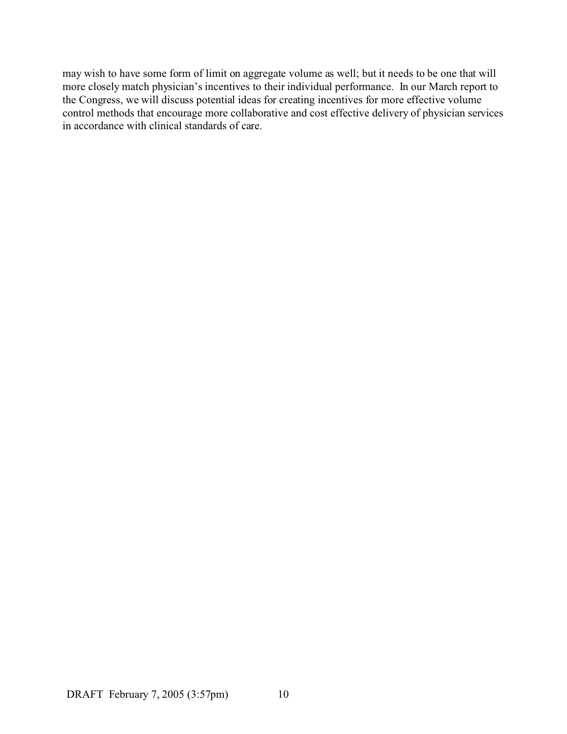may wish to have some form of limit on aggregate volume as well; but it needs to be one that will more closely match physician's incentives to their individual performance. In our March report to the Congress, we will discuss potential ideas for creating incentives for more effective volume control methods that encourage more collaborative and cost effective delivery of physician services in accordance with clinical standards of care.